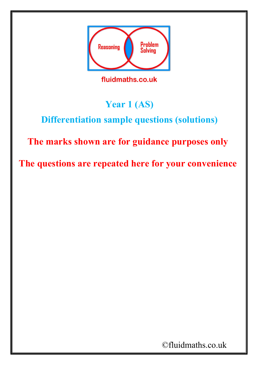

fluidmaths.co.uk

## **Year 1 (AS)**

## **Differentiation sample questions (solutions)**

## **The marks shown are for guidance purposes only**

**The questions are repeated here for your convenience**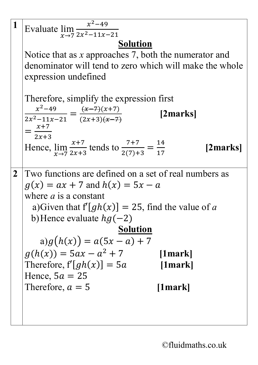|              | Evaluate $\lim_{x\to 7} \frac{x^2-49}{2x^2-11x-21}$                                               |
|--------------|---------------------------------------------------------------------------------------------------|
|              |                                                                                                   |
|              | <b>Solution</b>                                                                                   |
|              | Notice that as $x$ approaches 7, both the numerator and                                           |
|              | denominator will tend to zero which will make the whole                                           |
|              | expression undefined                                                                              |
|              | Therefore, simplify the expression first                                                          |
|              |                                                                                                   |
|              | $\frac{x^2-49}{2x^2-11x-21} = \frac{(x-7)(x+7)}{(2x+3)(x-7)}$<br>[2marks]                         |
|              | $x+7$                                                                                             |
|              | $2x+3$                                                                                            |
|              | Hence, $\lim_{x\to 7} \frac{x+7}{2x+3}$ tends to $\frac{7+7}{2(7)+3} = \frac{14}{17}$<br>[2marks] |
|              |                                                                                                   |
| $\mathbf{2}$ | Two functions are defined on a set of real numbers as                                             |
|              | $g(x) = ax + 7$ and $h(x) = 5x - a$                                                               |
|              | where $a$ is a constant                                                                           |
|              | a) Given that $f[gh(x)] = 25$ , find the value of a                                               |
|              | b) Hence evaluate $hg(-2)$                                                                        |
|              | <b>Solution</b>                                                                                   |
|              | $a)g(h(x)) = a(5x - a) + 7$                                                                       |
|              | $g(h(x)) = 5ax - a^2 + 7$<br>$[1$ mark]                                                           |
|              | Therefore, $f'[gh(x)] = 5a$<br>[1mark]                                                            |
|              | Hence, $5a = 25$                                                                                  |
|              | Therefore, $a = 5$<br>[1mark]                                                                     |
|              |                                                                                                   |
|              |                                                                                                   |
|              |                                                                                                   |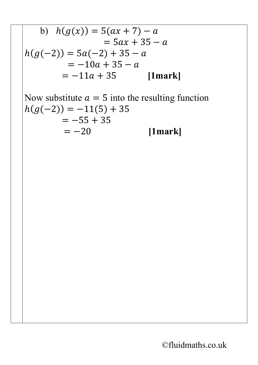b) 
$$
h(g(x)) = 5(ax + 7) - a
$$
  
\t\t\t\t $= 5ax + 35 - a$   
\t\t\t\t $h(g(-2)) = 5a(-2) + 35 - a$   
\t\t\t\t $= -10a + 35 - a$   
\t\t\t\t $= -11a + 35$  [1mark]

Now substitute  $a = 5$  into the resulting function  $h(g(-2)) = -11(5) + 35$  $=-55 + 35$ <br>=  $-20$ *[1mark]*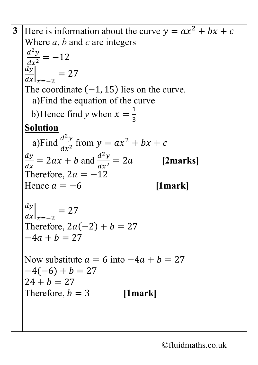**3** Here is information about the curve  $y = ax^2 + bx + c$ Where *a*, *b* and *c* are integers  $\frac{d^2y}{dx^2}$  $\frac{dx^2}{2}$  $=-12$  $\frac{d}{dx}$  $\frac{d}{dx}\bigg|_{x=-2}$  $= 27$ The coordinate  $(-1, 15)$  lies on the curve. a)Find the equation of the curve b) Hence find *y* when  $x = \frac{1}{3}$ 3 **Solution** a)Find  $\frac{d^2y}{dx^2}$  $\frac{d^2y}{dx^2}$  from  $y = ax^2 + bx + c$  $\frac{dy}{dx}$  = 2ax + b and  $\frac{d^2y}{dx^2}$  $\frac{a}{a}$  $dx^2$ = 2 **[2marks]** Therefore,  $2a = -12$ Hence  $a = -6$  [1mark]  $\frac{d}{dx}$  $\left. \frac{d}{dx} \right|_{x=-2}$  $= 27$ Therefore,  $2a(-2) + b = 27$  $-4a + b = 27$ Now substitute  $a = 6$  into  $-4a + b = 27$  $-4(-6) + b = 27$  $24 + b = 27$ Therefore,  $b = 3$  [1mark]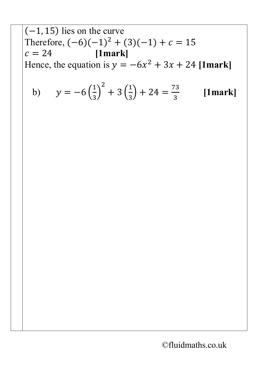$(-1, 15)$  lies on the curve Therefore,  $(-6)(-1)^2 + (3)(-1) + c = 15$ <br>  $c = 24$  [1mark]  $c = 24$ Hence, the equation is  $y = -6x^2 + 3x + 24$  [1mark]

b) 
$$
y = -6\left(\frac{1}{3}\right)^2 + 3\left(\frac{1}{3}\right) + 24 = \frac{73}{3}
$$
 [1mark]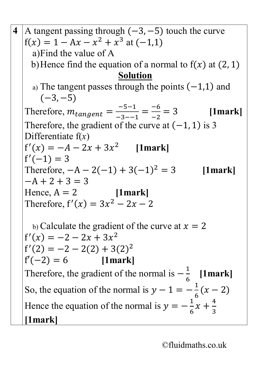**4** A tangent passing through  $(-3, -5)$  touch the curve  $f(x) = 1 - Ax - x^2 + x^3$  at  $(-1,1)$ a)Find the value of A b) Hence find the equation of a normal to  $f(x)$  at (2, 1) **Solution** a) The tangent passes through the points  $(-1,1)$  and  $(-3, -5)$ Therefore,  $m_{tangent} = \frac{-5-1}{-3-1}$  $=\frac{-6}{-2}$ −2 = 3 **[1mark]** Therefore, the gradient of the curve at  $(-1, 1)$  is 3 Differentiate f(*x*)  $f'(x) = -A - 2x + 3x^2$  [1mark]  $f'(-1) = 3$ Therefore,  $-A - 2(-1) + 3(-1)^2 = 3$  [1mark]  $-A + 2 + 3 = 3$ Hence,  $A = 2$  [1mark] Therefore,  $f'(x) = 3x^2 - 2x - 2$ b) Calculate the gradient of the curve at  $x = 2$  $f'(x) = -2 - 2x + 3x^2$  $f'(2) = -2 - 2(2) + 3(2)^2$  $f'(-2) = 6$  [1mark] Therefore, the gradient of the normal is  $-\frac{1}{6}$ 6 **[1mark]** So, the equation of the normal is  $y - 1 = -\frac{1}{6}$  $\frac{1}{6}(x-2)$ Hence the equation of the normal is  $y = -\frac{1}{6}$ 6  $x + \frac{4}{3}$ 3  $\ddot{\phantom{0}}$ **[1mark]**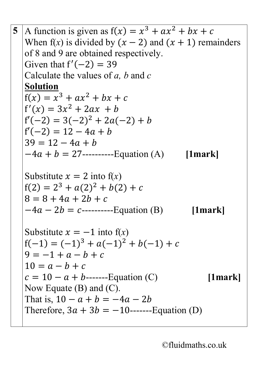5 A function is given as 
$$
f(x) = x^3 + ax^2 + bx + c
$$
  
\nWhen  $f(x)$  is divided by  $(x - 2)$  and  $(x + 1)$  remainders  
\nof 8 and 9 are obtained respectively.  
\nGiven that  $f'(-2) = 39$   
\nCalculate the values of a, b and c  
\n**Solution**  
\n $f(x) = x^3 + ax^2 + bx + c$   
\n $f'(x) = 3x^2 + 2ax + b$   
\n $f'(-2) = 3(-2)^2 + 2a(-2) + b$   
\n $f'(-2) = 12 - 4a + b$   
\n $39 = 12 - 4a + b$   
\n $-4a + b = 27$ ........  
\nEubstitute  $x = 2$  into  $f(x)$   
\n $f(2) = 2^3 + a(2)^2 + b(2) + c$   
\n $8 = 8 + 4a + 2b + c$   
\n $-4a - 2b = c$ ........  
\nSubstitute  $x = -1$  into  $f(x)$   
\n $f(-1) = (-1)^3 + a(-1)^2 + b(-1) + c$   
\n $9 = -1 + a - b + c$   
\n $10 = a - b + c$   
\n $c = 10 - a + b$ ........  
\nEquation (C) [1mark]  
\nNow Equate (B) and (C).  
\nThat is,  $10 - a + b = -4a - 2b$   
\nTherefore,  $3a + 3b = -10$ ........  
\nEquation (D)